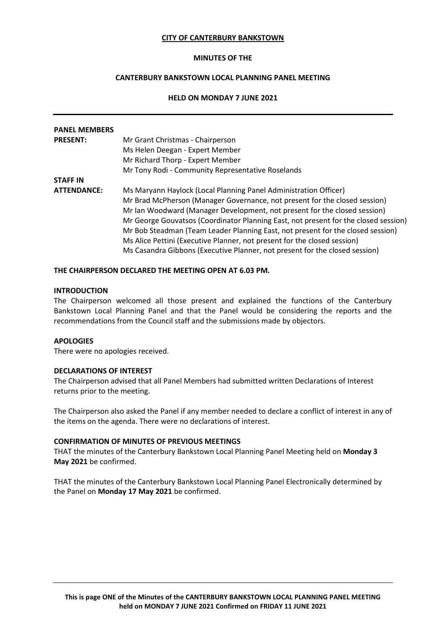### **CITY OF CANTERBURY BANKSTOWN**

### **MINUTES OF THE**

# **CANTERBURY BANKSTOWN LOCAL PLANNING PANEL MEETING**

# **HELD ON MONDAY 7 JUNE 2021**

| <b>PANEL MEMBERS</b> |                                                                                     |
|----------------------|-------------------------------------------------------------------------------------|
| <b>PRESENT:</b>      | Mr Grant Christmas - Chairperson                                                    |
|                      | Ms Helen Deegan - Expert Member                                                     |
|                      | Mr Richard Thorp - Expert Member                                                    |
|                      | Mr Tony Rodi - Community Representative Roselands                                   |
| <b>STAFF IN</b>      |                                                                                     |
| <b>ATTENDANCE:</b>   | Ms Maryann Haylock (Local Planning Panel Administration Officer)                    |
|                      | Mr Brad McPherson (Manager Governance, not present for the closed session)          |
|                      | Mr Ian Woodward (Manager Development, not present for the closed session)           |
|                      | Mr George Gouvatsos (Coordinator Planning East, not present for the closed session) |
|                      | Mr Bob Steadman (Team Leader Planning East, not present for the closed session)     |
|                      | Ms Alice Pettini (Executive Planner, not present for the closed session)            |
|                      | Ms Casandra Gibbons (Executive Planner, not present for the closed session)         |

#### **THE CHAIRPERSON DECLARED THE MEETING OPEN AT 6.03 PM.**

# **INTRODUCTION**

The Chairperson welcomed all those present and explained the functions of the Canterbury Bankstown Local Planning Panel and that the Panel would be considering the reports and the recommendations from the Council staff and the submissions made by objectors.

## **APOLOGIES**

There were no apologies received.

#### **DECLARATIONS OF INTEREST**

The Chairperson advised that all Panel Members had submitted written Declarations of Interest returns prior to the meeting.

The Chairperson also asked the Panel if any member needed to declare a conflict of interest in any of the items on the agenda. There were no declarations of interest.

### **CONFIRMATION OF MINUTES OF PREVIOUS MEETINGS**

THAT the minutes of the Canterbury Bankstown Local Planning Panel Meeting held on **Monday 3 May 2021** be confirmed.

THAT the minutes of the Canterbury Bankstown Local Planning Panel Electronically determined by the Panel on **Monday 17 May 2021** be confirmed.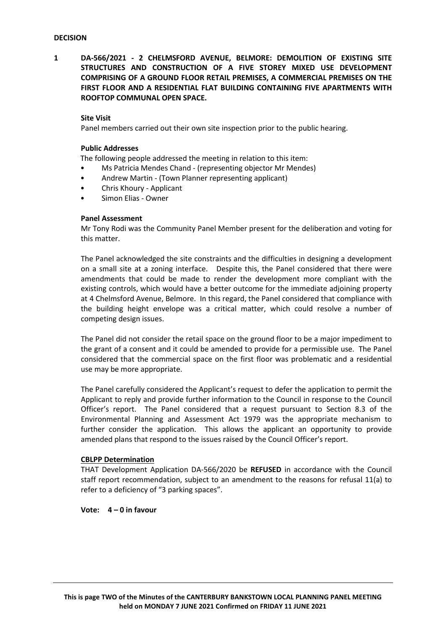**1 DA-566/2021 - 2 CHELMSFORD AVENUE, BELMORE: DEMOLITION OF EXISTING SITE STRUCTURES AND CONSTRUCTION OF A FIVE STOREY MIXED USE DEVELOPMENT COMPRISING OF A GROUND FLOOR RETAIL PREMISES, A COMMERCIAL PREMISES ON THE FIRST FLOOR AND A RESIDENTIAL FLAT BUILDING CONTAINING FIVE APARTMENTS WITH ROOFTOP COMMUNAL OPEN SPACE.**

#### **Site Visit**

Panel members carried out their own site inspection prior to the public hearing.

### **Public Addresses**

The following people addressed the meeting in relation to this item:

- Ms Patricia Mendes Chand (representing objector Mr Mendes)
- Andrew Martin (Town Planner representing applicant)
- Chris Khoury Applicant
- Simon Elias Owner

#### **Panel Assessment**

Mr Tony Rodi was the Community Panel Member present for the deliberation and voting for this matter.

The Panel acknowledged the site constraints and the difficulties in designing a development on a small site at a zoning interface. Despite this, the Panel considered that there were amendments that could be made to render the development more compliant with the existing controls, which would have a better outcome for the immediate adjoining property at 4 Chelmsford Avenue, Belmore. In this regard, the Panel considered that compliance with the building height envelope was a critical matter, which could resolve a number of competing design issues.

The Panel did not consider the retail space on the ground floor to be a major impediment to the grant of a consent and it could be amended to provide for a permissible use. The Panel considered that the commercial space on the first floor was problematic and a residential use may be more appropriate.

The Panel carefully considered the Applicant's request to defer the application to permit the Applicant to reply and provide further information to the Council in response to the Council Officer's report. The Panel considered that a request pursuant to Section 8.3 of the Environmental Planning and Assessment Act 1979 was the appropriate mechanism to further consider the application. This allows the applicant an opportunity to provide amended plans that respond to the issues raised by the Council Officer's report.

#### **CBLPP Determination**

THAT Development Application DA-566/2020 be **REFUSED** in accordance with the Council staff report recommendation, subject to an amendment to the reasons for refusal 11(a) to refer to a deficiency of "3 parking spaces".

**Vote: 4 – 0 in favour**